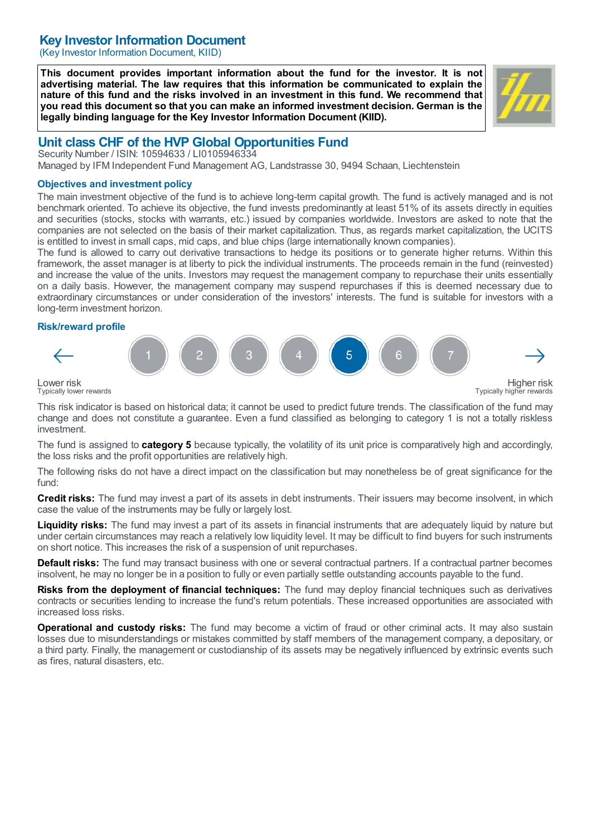# Key Investor Information Document

(Key Investor Information Document, KIID)

This document provides important information about the fund for the investor. It is not advertising material. The law requires that this information be communicated to explain the nature of this fund and the risks involved in an investment in this fund. We recommend that you read this document so that you can make an informed investment decision. German is the legally binding language for the Key Investor Information Document (KIID).



# Unit class CHF of the HVP Global Opportunities Fund

Security Number / ISIN: 10594633 / LI0105946334 Managed by IFM Independent Fund Management AG, Landstrasse 30, 9494 Schaan, Liechtenstein

### Objectives and investment policy

The main investment objective of the fund is to achieve long-term capital growth. The fund is actively managed and is not benchmark oriented. To achieve its objective, the fund invests predominantly at least 51% of its assets directly in equities and securities (stocks, stocks with warrants, etc.) issued by companies worldwide. Investors are asked to note that the companies are not selected on the basis of their market capitalization. Thus, as regards market capitalization, the UCITS is entitled to invest in small caps, mid caps, and blue chips (large internationally known companies).

The fund is allowed to carry out derivative transactions to hedge its positions or to generate higher returns. Within this framework, the asset manager is at liberty to pick the individual instruments. The proceeds remain in the fund (reinvested) and increase the value of the units. Investors may request the management company to repurchase their units essentially on a daily basis. However, the management company may suspend repurchases if this is deemed necessary due to extraordinary circumstances or under consideration of the investors' interests. The fund is suitable for investors with a long-term investment horizon.

### Risk/reward profile



Typically lower rewards

This risk indicator is based on historical data; it cannot be used to predict future trends. The classification of the fund may change and does not constitute a guarantee. Even a fund classified as belonging to category 1 is not a totally riskless investment.

The fund is assigned to **category 5** because typically, the volatility of its unit price is comparatively high and accordingly, the loss risks and the profit opportunities are relatively high.

The following risks do not have a direct impact on the classification but may nonetheless be of great significance for the fund:

Credit risks: The fund may invest a part of its assets in debt instruments. Their issuers may become insolvent, in which case the value of the instruments may be fully or largely lost.

Liquidity risks: The fund may invest a part of its assets in financial instruments that are adequately liquid by nature but under certain circumstances may reach a relatively low liquidity level. It may be difficult to find buyers for such instruments on short notice. This increases the risk of a suspension of unit repurchases.

**Default risks:** The fund may transact business with one or several contractual partners. If a contractual partner becomes insolvent, he may no longer be in a position to fully or even partially settle outstanding accounts payable to the fund.

Risks from the deployment of financial techniques: The fund may deploy financial techniques such as derivatives contracts or securities lending to increase the fund's return potentials. These increased opportunities are associated with increased loss risks.

Operational and custody risks: The fund may become a victim of fraud or other criminal acts. It may also sustain losses due to misunderstandings or mistakes committed by staff members of the management company, a depositary, or a third party. Finally, the management or custodianship of its assets may be negatively influenced by extrinsic events such as fires, natural disasters, etc.

Typically higher rewards